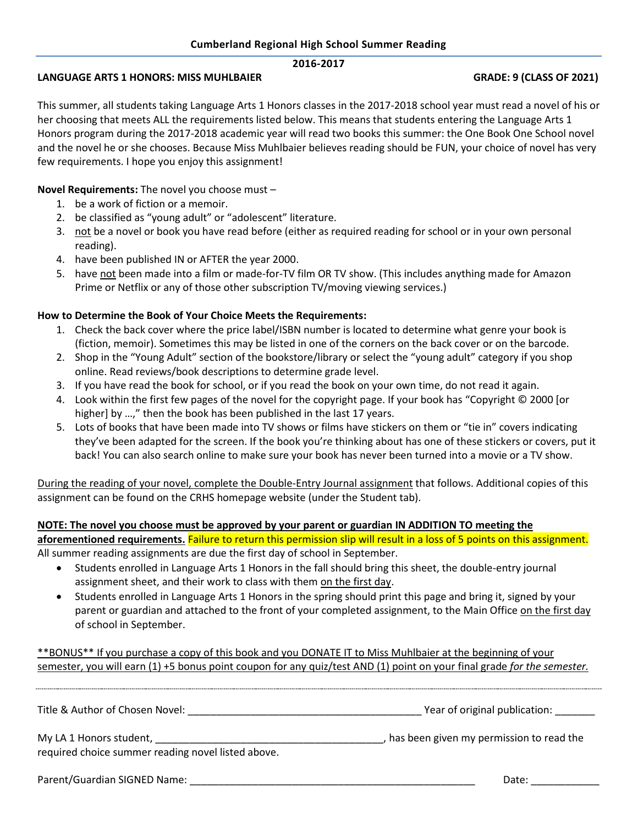## **2016-2017**

## **LANGUAGE ARTS 1 HONORS: MISS MUHLBAIER GRADE: 9 (CLASS OF 2021)**

This summer, all students taking Language Arts 1 Honors classes in the 2017-2018 school year must read a novel of his or her choosing that meets ALL the requirements listed below. This means that students entering the Language Arts 1 Honors program during the 2017-2018 academic year will read two books this summer: the One Book One School novel and the novel he or she chooses. Because Miss Muhlbaier believes reading should be FUN, your choice of novel has very few requirements. I hope you enjoy this assignment!

# **Novel Requirements:** The novel you choose must –

- 1. be a work of fiction or a memoir.
- 2. be classified as "young adult" or "adolescent" literature.
- 3. not be a novel or book you have read before (either as required reading for school or in your own personal reading).
- 4. have been published IN or AFTER the year 2000.
- 5. have not been made into a film or made-for-TV film OR TV show. (This includes anything made for Amazon Prime or Netflix or any of those other subscription TV/moving viewing services.)

# **How to Determine the Book of Your Choice Meets the Requirements:**

- 1. Check the back cover where the price label/ISBN number is located to determine what genre your book is (fiction, memoir). Sometimes this may be listed in one of the corners on the back cover or on the barcode.
- 2. Shop in the "Young Adult" section of the bookstore/library or select the "young adult" category if you shop online. Read reviews/book descriptions to determine grade level.
- 3. If you have read the book for school, or if you read the book on your own time, do not read it again.
- 4. Look within the first few pages of the novel for the copyright page. If your book has "Copyright © 2000 [or higher] by ...," then the book has been published in the last 17 years.
- 5. Lots of books that have been made into TV shows or films have stickers on them or "tie in" covers indicating they've been adapted for the screen. If the book you're thinking about has one of these stickers or covers, put it back! You can also search online to make sure your book has never been turned into a movie or a TV show.

During the reading of your novel, complete the Double-Entry Journal assignment that follows. Additional copies of this assignment can be found on the CRHS homepage website (under the Student tab).

# **NOTE: The novel you choose must be approved by your parent or guardian IN ADDITION TO meeting the**

**aforementioned requirements.** Failure to return this permission slip will result in a loss of 5 points on this assignment. All summer reading assignments are due the first day of school in September.

- Students enrolled in Language Arts 1 Honors in the fall should bring this sheet, the double-entry journal assignment sheet, and their work to class with them on the first day.
- Students enrolled in Language Arts 1 Honors in the spring should print this page and bring it, signed by your parent or guardian and attached to the front of your completed assignment, to the Main Office on the first day of school in September.

\*\*BONUS\*\* If you purchase a copy of this book and you DONATE IT to Miss Muhlbaier at the beginning of your semester, you will earn (1) +5 bonus point coupon for any quiz/test AND (1) point on your final grade *for the semester.*

| Title & Author of Chosen Novel:                    | Year of original publication:            |
|----------------------------------------------------|------------------------------------------|
| required choice summer reading novel listed above. | has been given my permission to read the |
| Parent/Guardian SIGNED Name:                       | Date:                                    |